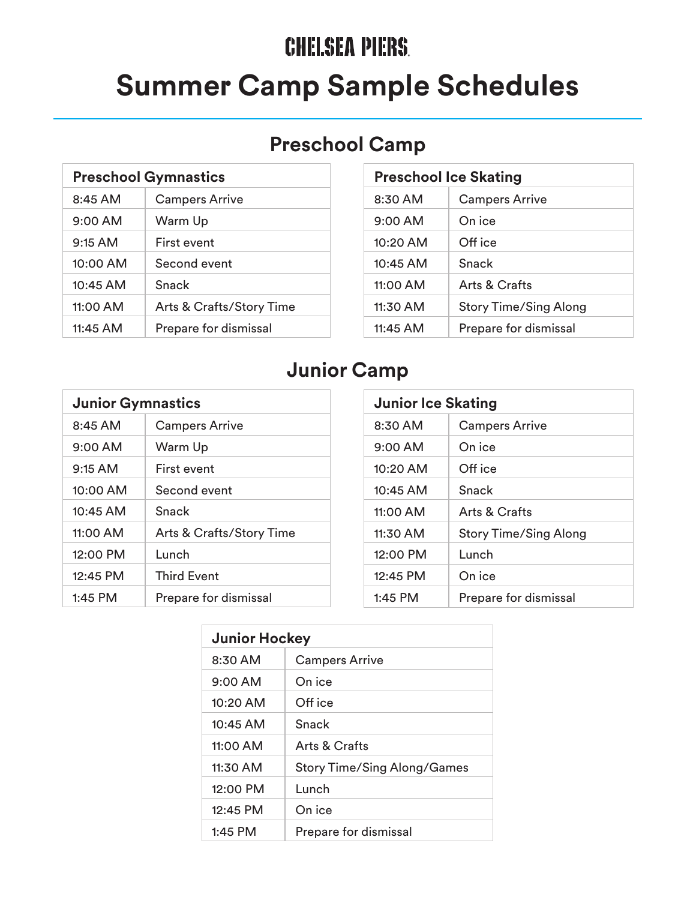## **CHELSEA PIERS. Summer Camp Sample Schedules**

#### **Preschool Camp**

| <b>Preschool Gymnastics</b> |                          |
|-----------------------------|--------------------------|
| $8:45$ AM                   | <b>Campers Arrive</b>    |
| $9:00$ AM                   | Warm Up                  |
| $9:15$ AM                   | First event              |
| $10:00$ AM                  | Second event             |
| 10:45 AM                    | Snack                    |
| 11:00 AM                    | Arts & Crafts/Story Time |
| 11:45 AM                    | Prepare for dismissal    |

| <b>Preschool Ice Skating</b> |                              |
|------------------------------|------------------------------|
| $8:30$ AM                    | <b>Campers Arrive</b>        |
| $9:00$ AM                    | On ice                       |
| $10:20$ AM                   | Off ice                      |
| $10:45$ AM                   | Snack                        |
| 11:00 AM                     | <b>Arts &amp; Crafts</b>     |
| $11:30$ AM                   | <b>Story Time/Sing Along</b> |
| 11:45 AM                     | Prepare for dismissal        |

#### **Junior Camp**

| <b>Junior Gymnastics</b> |                                     |
|--------------------------|-------------------------------------|
| $8:45$ AM                | <b>Campers Arrive</b>               |
| $9:00$ AM                | Warm Up                             |
| $9:15$ AM                | First event                         |
| $10:00$ AM               | Second event                        |
| $10:45$ AM               | Snack                               |
| 11:00 AM                 | <b>Arts &amp; Crafts/Story Time</b> |
| 12:00 PM                 | Lunch                               |
| 12:45 PM                 | <b>Third Event</b>                  |
| $1:45$ PM                | Prepare for dismissal               |

| <b>Junior Ice Skating</b> |                              |  |
|---------------------------|------------------------------|--|
| $8:30$ AM                 | <b>Campers Arrive</b>        |  |
| $9:00$ AM                 | On ice                       |  |
| $10:20$ AM                | Off ice                      |  |
| 10:45 AM                  | Snack                        |  |
| 11:00 AM                  | Arts & Crafts                |  |
| $11:30$ AM                | <b>Story Time/Sing Along</b> |  |
| 12:00 PM                  | Lunch                        |  |
| 12:45 PM                  | On ice                       |  |
| $1:45$ PM                 | Prepare for dismissal        |  |

| <b>Junior Hockey</b> |                                    |
|----------------------|------------------------------------|
| $8:30$ AM            | <b>Campers Arrive</b>              |
| $9:00$ AM            | On ice                             |
| $10:20$ AM           | Off ice                            |
| $10:45$ AM           | Snack                              |
| 11:00 AM             | Arts & Crafts                      |
| $11:30$ AM           | <b>Story Time/Sing Along/Games</b> |
| $12:00$ PM           | Lunch                              |
| $12:45$ PM           | On ice                             |
| $1:45$ PM            | Prepare for dismissal              |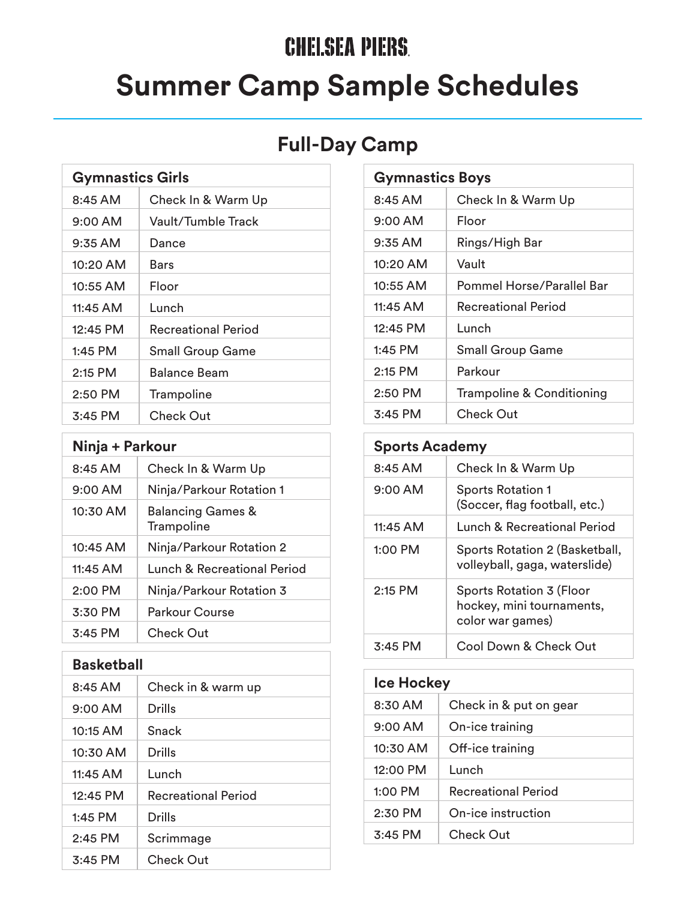# **CHELSEA PIERS. Summer Camp Sample Schedules**

### **Full-Day Camp**

| <b>Gymnastics Girls</b> |                            |
|-------------------------|----------------------------|
| 8:45 AM                 | Check In & Warm Up         |
| 9:00 AM                 | Vault/Tumble Track         |
| $9:35$ AM               | Dance                      |
| 10:20 AM                | Bars                       |
| 10:55 AM                | Floor                      |
| 11:45 AM                | Lunch                      |
| $12:45$ PM              | <b>Recreational Period</b> |
| $1:45$ PM               | <b>Small Group Game</b>    |
| 2:15 PM                 | <b>Balance Beam</b>        |
| 2:50 PM                 | Trampoline                 |
| $3:45$ PM               | Check Out                  |

| Ninja + Parkour |                                            |
|-----------------|--------------------------------------------|
| $8:45$ AM       | Check In & Warm Up                         |
| $9:00$ AM       | Ninja/Parkour Rotation 1                   |
| $10:30$ AM      | <b>Balancing Games &amp;</b><br>Trampoline |
| $10:45$ AM      | Ninja/Parkour Rotation 2                   |
| 11:45 AM        | Lunch & Recreational Period                |
| $2:00$ PM       | Ninja/Parkour Rotation 3                   |
| $3:30$ PM       | Parkour Course                             |
| $3:45$ PM       | Check Out                                  |

| <b>Basketball</b> |  |  |
|-------------------|--|--|
|                   |  |  |

| 8:45 AM           | Check in & warm up         |
|-------------------|----------------------------|
| $9:00 \text{ AM}$ | Drills                     |
| $10:15$ AM        | Snack                      |
| 10:30 AM          | Drills                     |
| 11:45 AM          | Lunch                      |
| $12:45$ PM        | <b>Recreational Period</b> |
| $1:45$ PM         | Drills                     |
| $2:45$ PM         | Scrimmage                  |
| $3:45$ PM         | Check Out                  |

| <b>Gymnastics Boys</b> |                                      |
|------------------------|--------------------------------------|
| 8:45 AM                | Check In & Warm Up                   |
| $9:00$ AM              | Floor                                |
| $9:35$ AM              | Rings/High Bar                       |
| $10:20$ AM             | Vault                                |
| $10:55$ AM             | <b>Pommel Horse/Parallel Bar</b>     |
| 11:45 AM               | <b>Recreational Period</b>           |
| 12:45 PM               | Lunch                                |
| $1:45$ PM              | <b>Small Group Game</b>              |
| $2:15$ PM              | Parkour                              |
| $2:50$ PM              | <b>Trampoline &amp; Conditioning</b> |
| $3:45$ PM              | Check Out                            |

| <b>Sports Academy</b> |                                                                           |
|-----------------------|---------------------------------------------------------------------------|
| 8:45 AM               | Check In & Warm Up                                                        |
| $9:00$ AM             | <b>Sports Rotation 1</b><br>(Soccer, flag football, etc.)                 |
| 11:45 AM              | Lunch & Recreational Period                                               |
| $1:00$ PM             | Sports Rotation 2 (Basketball,<br>volleyball, gaga, waterslide)           |
| $2:15$ PM             | Sports Rotation 3 (Floor<br>hockey, mini tournaments,<br>color war games) |
| 3:45 PM               | Cool Down & Check Out                                                     |

| <b>Ice Hockey</b> |                        |  |
|-------------------|------------------------|--|
| $8:30$ AM         | Check in & put on gear |  |
| $9:00$ AM         | On-ice training        |  |
| $10:30$ AM        | Off-ice training       |  |
| 12:00 PM          | Lunch                  |  |
| $1:00$ PM         | Recreational Period    |  |
| $2:30$ PM         | On-ice instruction     |  |
| $3:45$ PM         | Check Out              |  |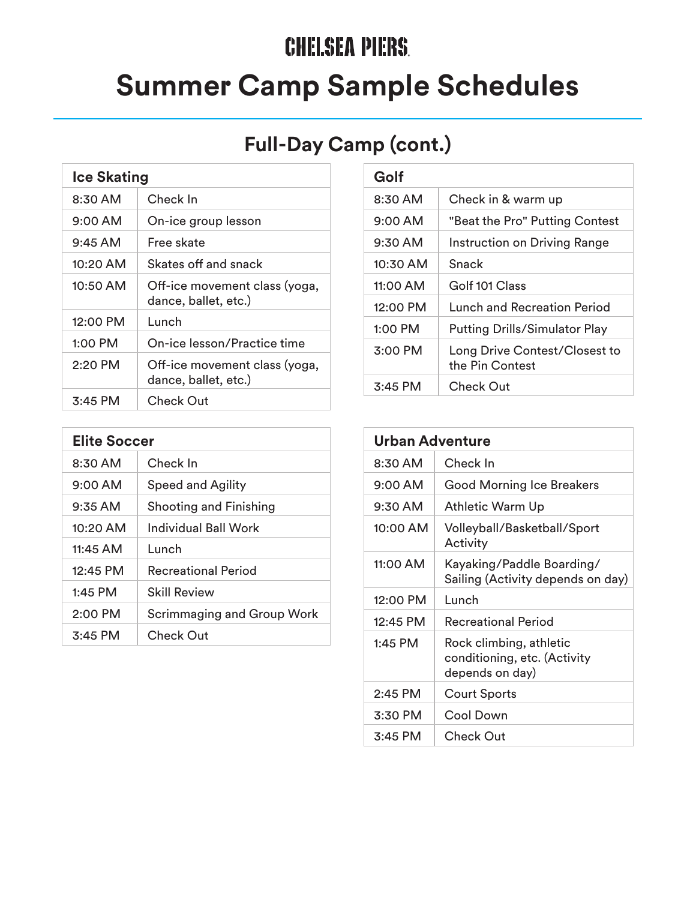# **CHELSEA PIERS. Summer Camp Sample Schedules**

### **Full-Day Camp (cont.)**

| <b>Ice Skating</b> |                                                       |
|--------------------|-------------------------------------------------------|
| $8:30$ AM          | Check In                                              |
| $9:00 \text{ AM}$  | On-ice group lesson                                   |
| $9:45 \text{ AM}$  | Free skate                                            |
| 10:20 AM           | Skates off and snack                                  |
| $10:50$ AM         | Off-ice movement class (yoga,<br>dance, ballet, etc.) |
| $12:00$ PM         | Lunch                                                 |
| $1:00$ PM          | On-ice lesson/Practice time                           |
| 2:20 PM            | Off-ice movement class (yoga,<br>dance, ballet, etc.) |
| $3:45$ PM          | Check Out                                             |

| <b>Elite Soccer</b> |                                   |
|---------------------|-----------------------------------|
| $8:30$ AM           | Check In                          |
| $9:00 \text{ AM}$   | <b>Speed and Agility</b>          |
| $9:35$ AM           | <b>Shooting and Finishing</b>     |
| $10:20$ AM          | Individual Ball Work              |
| 11:45 AM            | Lunch                             |
| $12:45$ PM          | <b>Recreational Period</b>        |
| 1:45 PM             | <b>Skill Review</b>               |
| $2:00$ PM           | <b>Scrimmaging and Group Work</b> |
| $3:45$ PM           | Check Out                         |

| Golf       |                                                  |
|------------|--------------------------------------------------|
| $8:30$ AM  | Check in & warm up                               |
| $9:00$ AM  | "Beat the Pro" Putting Contest                   |
| $9:30$ AM  | <b>Instruction on Driving Range</b>              |
| 10:30 AM   | Snack                                            |
| 11:00 AM   | Golf 101 Class                                   |
| $12:00$ PM | Lunch and Recreation Period                      |
| $1:00$ PM  | <b>Putting Drills/Simulator Play</b>             |
| $3:00$ PM  | Long Drive Contest/Closest to<br>the Pin Contest |
| $3:45$ PM  | Check Out                                        |

| Urban Adventure   |                                                                            |  |
|-------------------|----------------------------------------------------------------------------|--|
| 8:30 AM           | Check In                                                                   |  |
| $9:00 \text{ AM}$ | <b>Good Morning Ice Breakers</b>                                           |  |
| 9:30 AM           | Athletic Warm Up                                                           |  |
| 10:00 AM          | Volleyball/Basketball/Sport<br>Activity                                    |  |
| 11:00 AM          | Kayaking/Paddle Boarding/<br>Sailing (Activity depends on day)             |  |
| 12:00 PM          | Lunch                                                                      |  |
| 12:45 PM          | <b>Recreational Period</b>                                                 |  |
| $1:45$ PM         | Rock climbing, athletic<br>conditioning, etc. (Activity<br>depends on day) |  |
| $2:45$ PM         | <b>Court Sports</b>                                                        |  |
| 3:30 PM           | Cool Down                                                                  |  |
| $3:45$ PM         | <b>Check Out</b>                                                           |  |